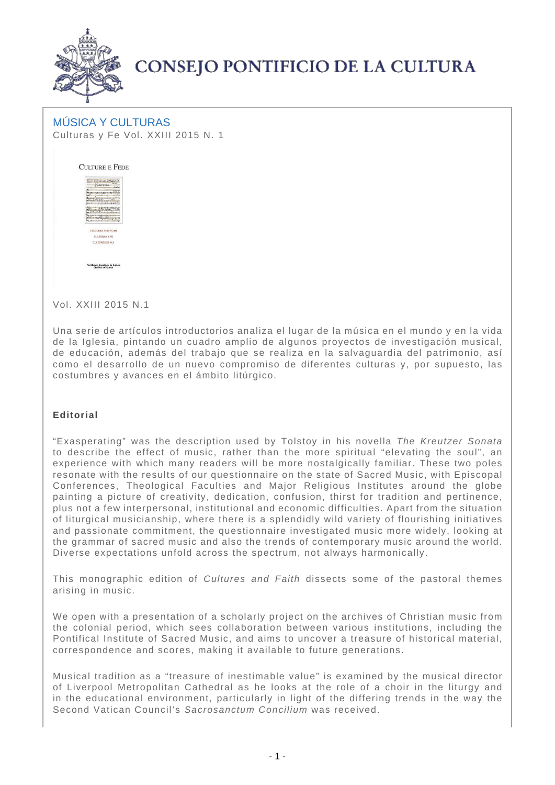

## **CONSEJO PONTIFICIO DE LA CULTURA**

## MÚSICA Y CULTURAS Culturas y Fe Vol. XXIII 2015 N. 1



Vol. XXIII 2015 N.1

Una serie de artículos introductorios analiza el lugar de la música en el mundo y en la vida de la Iglesia, pintando un cuadro amplio de algunos proyectos de investigación musical, de educación, además del trabajo que se realiza en la salvaguardia del patrimonio, así como el desarrollo de un nuevo compromiso de diferentes culturas y, por supuesto, las costumbres y avances en el ámbito litúrgico.

## **Editorial**

"Exasperating" was the description used by Tolstoy in his novella The Kreutzer Sonata to describe the effect of music, rather than the more spiritual "elevating the soul", an experience with which many readers will be more nostalgically familiar. These two poles resonate with the results of our questionnaire on the state of Sacred Music, with Episcopal Conferences, Theological Faculties and Major Religious Institutes around the globe painting a picture of creativity, dedication, confusion, thirst for tradition and pertinence, plus not a few interpersonal, institutional and economic difficulties. Apart from the situation of liturgical musicianship, where there is a splendidly wild variety of flourishing initiatives and passionate commitment, the questionnaire investigated music more widely, looking at the grammar of sacred music and also the trends of contemporary music around the world. Diverse expectations unfold across the spectrum, not always harmonically.

This monographic edition of Cultures and Faith dissects some of the pastoral themes arising in music.

We open with a presentation of a scholarly project on the archives of Christian music from the colonial period, which sees collaboration between various institutions, including the Pontifical Institute of Sacred Music, and aims to uncover a treasure of historical material, correspondence and scores, making it available to future generations.

Musical tradition as a "treasure of inestimable value" is examined by the musical director of Liverpool Metropolitan Cathedral as he looks at the role of a choir in the liturgy and in the educational environment, particularly in light of the differing trends in the way the Second Vatican Council's Sacrosanctum Concilium was received.